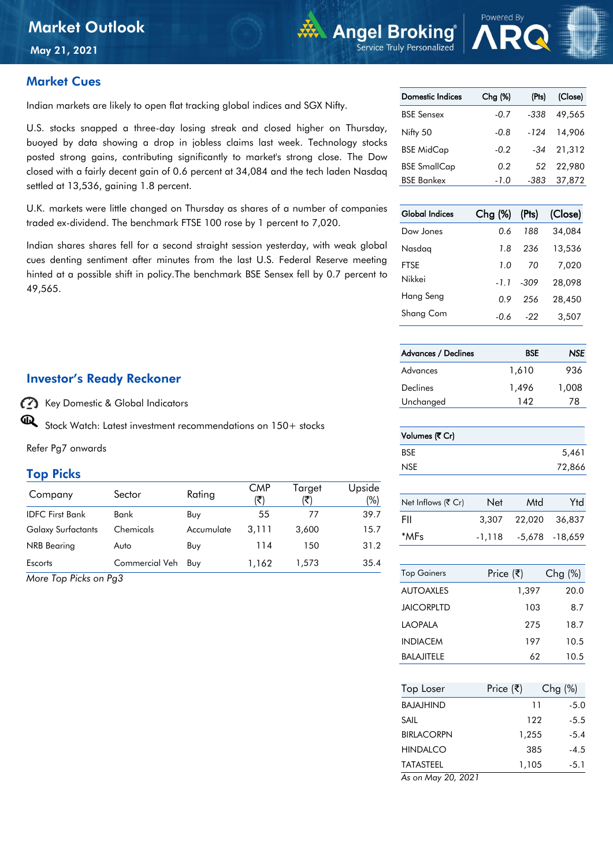May 21, 2021

#### Market Cues

Indian markets are likely to open flat tracking global indices and SGX Nifty.

U.S. stocks snapped a three-day losing streak and closed higher on Thursday, buoyed by data showing a drop in jobless claims last week. Technology stocks posted strong gains, contributing significantly to market's strong close. The Dow closed with a fairly decent gain of 0.6 percent at 34,084 and the tech laden Nasdaq settled at 13,536, gaining 1.8 percent.

U.K. markets were little changed on Thursday as shares of a number of companies traded ex-dividend. The benchmark FTSE 100 rose by 1 percent to 7,020.

Indian shares shares fell for a second straight session yesterday, with weak global cues denting sentiment after minutes from the last U.S. Federal Reserve meeting hinted at a possible shift in policy.The benchmark BSE Sensex fell by 0.7 percent to 49,565.

#### Investor's Ready Reckoner

Key Domestic & Global Indicators

 $\mathbf{\mathbb{Q}}$ Stock Watch: Latest investment recommendations on 150+ stocks

Refer Pg7 onwards

#### Top Picks

| Company                   | Sector             | Rating     | <b>CMP</b><br>(₹ | Target | Upside<br>(%) |
|---------------------------|--------------------|------------|------------------|--------|---------------|
| <b>IDFC First Bank</b>    | Bank               | Buy        | 55               | 77     | 39.7          |
| <b>Galaxy Surfactants</b> | Chemicals          | Accumulate | 3.111            | 3,600  | 15.7          |
| NRB Bearing               | Auto               | Buy        | 114              | 150    | 31.2          |
| Escorts                   | Commercial Veh Buy |            | 1.162            | 1.573  | 35.4          |

*More Top Picks on Pg3*

| <b>Domestic Indices</b> | Chg <sub>9</sub> | (Pts)  | (Close) |
|-------------------------|------------------|--------|---------|
| <b>BSE Sensex</b>       | $-0.7$           | -338   | 49.565  |
| Nifty 50                | -0.8             | $-124$ | 14,906  |
| <b>BSE MidCap</b>       | $-0.2$           | -34    | 21,312  |
| <b>BSE SmallCap</b>     | 0.2              | 52     | 22.980  |
| <b>BSE Bankex</b>       | -1.0             | -383   | 37,872  |

**WA** Angel Broking

Service Truly Personalized

| <b>Global Indices</b> | Chg (%) | (Pts) | (Close) |
|-----------------------|---------|-------|---------|
| Dow Jones             | 0 6     | 188   | 34.084  |
| Nasdaa                | 1.8     | 236   | 13,536  |
| FTSF                  | 1.0     | 70    | 7.020   |
| Nikkei                | -11     | -309  | 28,098  |
| Hang Seng             | 0.9     | 256   | 28,450  |
| Shang Com             | -0.6    | -22   | 3,507   |

| <b>Advances / Declines</b> | <b>BSE</b> | NSE.  |
|----------------------------|------------|-------|
| Advances                   | 1,610      | 936   |
| Declines                   | 1.496      | 1,008 |
| Unchanged                  | 142        | 78    |

| Volumes (そ Cr) |        |
|----------------|--------|
| <b>BSE</b>     | 5,461  |
| <b>NSE</b>     | 72,866 |

| Net Inflows (₹ Cr) | <b>Net</b> | Mtd    | Ytd             |
|--------------------|------------|--------|-----------------|
| FII                | 3.307      | 22.020 | 36.837          |
| *MFs               | $-1.118$   |        | -5,678 - 18,659 |

| <b>Top Gainers</b> | Price (₹) | $Chg(\%)$ |
|--------------------|-----------|-----------|
| AUTOAXI FS         | 1,397     | 20.0      |
| JAICORPI TD        | 103       | 8.7       |
| I AOPAI A          | 275       | 18.7      |
| <b>INDIACEM</b>    | 197       | 10.5      |
| BALAJITELE         | 62        | 10.5      |

| <b>Top Loser</b>       | Price (₹) | $Chg(\%)$ |        |
|------------------------|-----------|-----------|--------|
| BAJAJHIND              |           | 11        | $-5.0$ |
| SAIL                   |           | 122       | -5.5   |
| <b>BIRLACORPN</b>      |           | 1,255     | $-5.4$ |
| HINDAI CO              |           | 385       | $-4.5$ |
| <b>TATASTEEL</b>       |           | 1,105     | -5.1   |
| $1 - 11 - 00$<br>י ההה |           |           |        |

*As on May 20, 2021*

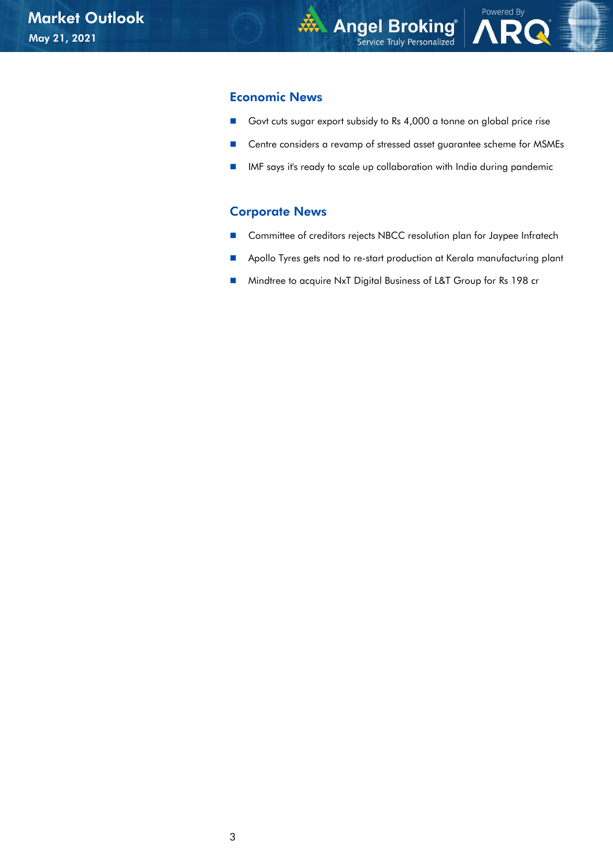Powered By

#### Economic News

- Govt cuts sugar export subsidy to Rs 4,000 a tonne on global price rise
- Centre considers a revamp of stressed asset guarantee scheme for MSMEs
- **IMF** says it's ready to scale up collaboration with India during pandemic

#### Corporate News

- Committee of creditors rejects NBCC resolution plan for Jaypee Infratech
- **Apollo Tyres gets nod to re-start production at Kerala manufacturing plant**
- Mindtree to acquire NxT Digital Business of L&T Group for Rs 198 cr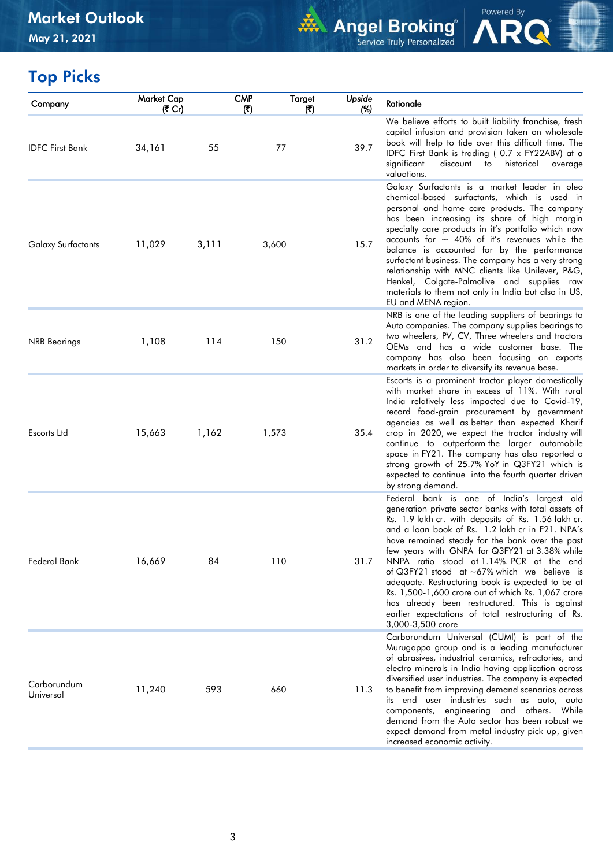

Powered By

# Top Picks

| Market Cap<br>(そ Cr) |       | <b>CMP</b><br>$(\overline{\mathbf{x}})$ | Targel<br>(₹) | Upside<br>(%)                             | Rationale                                                                                                                                                                                                                                                                                                                                                                                                                                                                                                                                                                                                                                                   |
|----------------------|-------|-----------------------------------------|---------------|-------------------------------------------|-------------------------------------------------------------------------------------------------------------------------------------------------------------------------------------------------------------------------------------------------------------------------------------------------------------------------------------------------------------------------------------------------------------------------------------------------------------------------------------------------------------------------------------------------------------------------------------------------------------------------------------------------------------|
| 34,161               | 55    |                                         |               | 39.7                                      | We believe efforts to built liability franchise, fresh<br>capital infusion and provision taken on wholesale<br>book will help to tide over this difficult time. The<br>IDFC First Bank is trading (0.7 x FY22ABV) at a<br>significant<br>discount to<br>historical<br>average<br>valuations.                                                                                                                                                                                                                                                                                                                                                                |
| 11,029               | 3,111 |                                         |               | 15.7                                      | Galaxy Surfactants is a market leader in oleo<br>chemical-based surfactants, which is used in<br>personal and home care products. The company<br>has been increasing its share of high margin<br>specialty care products in it's portfolio which now<br>accounts for $\sim$ 40% of it's revenues while the<br>balance is accounted for by the performance<br>surfactant business. The company has a very strong<br>relationship with MNC clients like Unilever, P&G,<br>Henkel, Colgate-Palmolive and supplies raw<br>materials to them not only in India but also in US,<br>EU and MENA region.                                                            |
| 1,108                | 114   |                                         |               | 31.2                                      | NRB is one of the leading suppliers of bearings to<br>Auto companies. The company supplies bearings to<br>two wheelers, PV, CV, Three wheelers and tractors<br>OEMs and has a wide customer base. The<br>company has also been focusing on exports<br>markets in order to diversify its revenue base.                                                                                                                                                                                                                                                                                                                                                       |
| 15,663               | 1,162 |                                         |               | 35.4                                      | Escorts is a prominent tractor player domestically<br>with market share in excess of 11%. With rural<br>India relatively less impacted due to Covid-19,<br>record food-grain procurement by government<br>agencies as well as better than expected Kharif<br>crop in 2020, we expect the tractor industry will<br>continue to outperform the larger automobile<br>space in FY21. The company has also reported a<br>strong growth of 25.7% YoY in Q3FY21 which is<br>expected to continue into the fourth quarter driven<br>by strong demand.                                                                                                               |
| 16,669               | 84    |                                         |               | 31.7                                      | Federal bank is one of India's largest old<br>generation private sector banks with total assets of<br>Rs. 1.9 lakh cr. with deposits of Rs. 1.56 lakh cr.<br>and a loan book of Rs. 1.2 lakh cr in F21. NPA's<br>have remained steady for the bank over the past<br>few years with GNPA for Q3FY21 at 3.38% while<br>NNPA ratio stood at 1.14%. PCR at the end<br>of Q3FY21 stood at $\sim$ 67% which we believe is<br>adequate. Restructuring book is expected to be at<br>Rs. 1,500-1,600 crore out of which Rs. 1,067 crore<br>has already been restructured. This is against<br>earlier expectations of total restructuring of Rs.<br>3,000-3,500 crore |
| 11,240               | 593   |                                         |               | 11.3                                      | Carborundum Universal (CUMI) is part of the<br>Murugappa group and is a leading manufacturer<br>of abrasives, industrial ceramics, refractories, and<br>electro minerals in India having application across<br>diversified user industries. The company is expected<br>to benefit from improving demand scenarios across<br>its end user industries such as auto, auto<br>components, engineering and others. While<br>demand from the Auto sector has been robust we<br>expect demand from metal industry pick up, given<br>increased economic activity.                                                                                                   |
|                      |       |                                         |               | 77<br>3,600<br>150<br>1,573<br>110<br>660 |                                                                                                                                                                                                                                                                                                                                                                                                                                                                                                                                                                                                                                                             |

 $\overline{\phantom{a}}$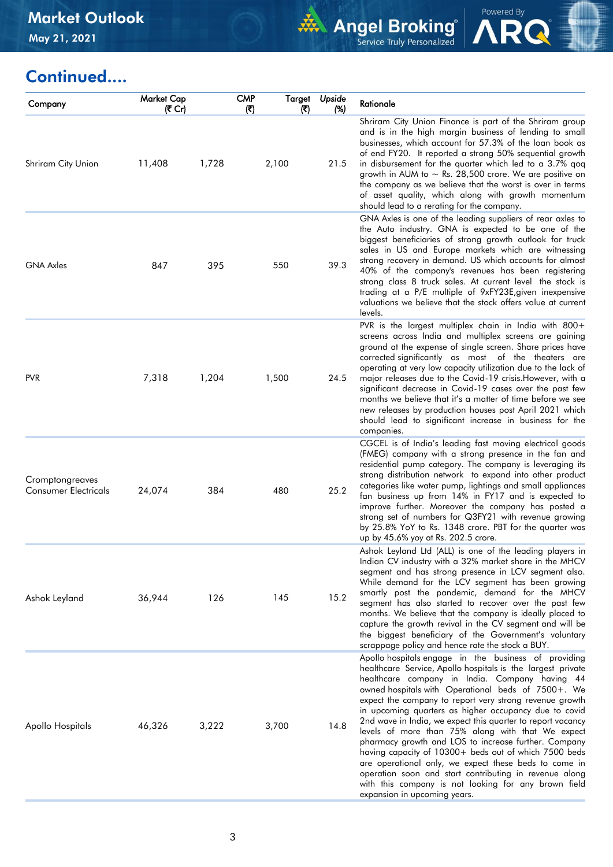

Powered By<br> **ARQ** 

# Continued....

| Company                                        | Market Cap<br>(₹ Cr) |       | <b>CMP</b><br>$(\overline{\mathbf{x}})$ | Target<br>(ব) | Upside<br>(%) | Rationale                                                                                                                                                                                                                                                                                                                                                                                                                                                                                                                                                                                                                                                                                                                                                                                       |
|------------------------------------------------|----------------------|-------|-----------------------------------------|---------------|---------------|-------------------------------------------------------------------------------------------------------------------------------------------------------------------------------------------------------------------------------------------------------------------------------------------------------------------------------------------------------------------------------------------------------------------------------------------------------------------------------------------------------------------------------------------------------------------------------------------------------------------------------------------------------------------------------------------------------------------------------------------------------------------------------------------------|
| Shriram City Union                             | 11,408               | 1,728 |                                         | 2,100         | 21.5          | Shriram City Union Finance is part of the Shriram group<br>and is in the high margin business of lending to small<br>businesses, which account for 57.3% of the loan book as<br>of end FY20. It reported a strong 50% sequential growth<br>in disbursement for the quarter which led to a 3.7% qoq<br>growth in AUM to $\sim$ Rs. 28,500 crore. We are positive on<br>the company as we believe that the worst is over in terms<br>of asset quality, which along with growth momentum<br>should lead to a rerating for the company.                                                                                                                                                                                                                                                             |
| <b>GNA Axles</b>                               | 847                  | 395   |                                         | 550           | 39.3          | GNA Axles is one of the leading suppliers of rear axles to<br>the Auto industry. GNA is expected to be one of the<br>biggest beneficiaries of strong growth outlook for truck<br>sales in US and Europe markets which are witnessing<br>strong recovery in demand. US which accounts for almost<br>40% of the company's revenues has been registering<br>strong class 8 truck sales. At current level the stock is<br>trading at a P/E multiple of 9xFY23E, given inexpensive<br>valuations we believe that the stock offers value at current<br>levels.                                                                                                                                                                                                                                        |
| <b>PVR</b>                                     | 7,318                | 1,204 |                                         | 1,500         | 24.5          | PVR is the largest multiplex chain in India with 800+<br>screens across India and multiplex screens are gaining<br>ground at the expense of single screen. Share prices have<br>corrected significantly as most of the theaters are<br>operating at very low capacity utilization due to the lack of<br>major releases due to the Covid-19 crisis. However, with a<br>significant decrease in Covid-19 cases over the past few<br>months we believe that it's a matter of time before we see<br>new releases by production houses post April 2021 which<br>should lead to significant increase in business for the<br>companies.                                                                                                                                                                |
| Cromptongreaves<br><b>Consumer Electricals</b> | 24,074               | 384   |                                         | 480           | 25.2          | CGCEL is of India's leading fast moving electrical goods<br>(FMEG) company with a strong presence in the fan and<br>residential pump category. The company is leveraging its<br>strong distribution network to expand into other product<br>categories like water pump, lightings and small appliances<br>fan business up from 14% in FY17 and is expected to<br>improve further. Moreover the company has posted a<br>strong set of numbers for Q3FY21 with revenue growing<br>by 25.8% YoY to Rs. 1348 crore. PBT for the quarter was<br>up by 45.6% yoy at Rs. 202.5 crore.                                                                                                                                                                                                                  |
| Ashok Leyland                                  | 36,944               | 126   |                                         | 145           | 15.2          | Ashok Leyland Ltd (ALL) is one of the leading players in<br>Indian CV industry with a 32% market share in the MHCV<br>segment and has strong presence in LCV segment also.<br>While demand for the LCV segment has been growing<br>smartly post the pandemic, demand for the MHCV<br>segment has also started to recover over the past few<br>months. We believe that the company is ideally placed to<br>capture the growth revival in the CV segment and will be<br>the biggest beneficiary of the Government's voluntary<br>scrappage policy and hence rate the stock a BUY.                                                                                                                                                                                                                 |
| Apollo Hospitals                               | 46,326               | 3,222 |                                         | 3,700         | 14.8          | Apollo hospitals engage in the business of providing<br>healthcare Service, Apollo hospitals is the largest private<br>healthcare company in India. Company having 44<br>owned hospitals with Operational beds of 7500+. We<br>expect the company to report very strong revenue growth<br>in upcoming quarters as higher occupancy due to covid<br>2nd wave in India, we expect this quarter to report vacancy<br>levels of more than 75% along with that We expect<br>pharmacy growth and LOS to increase further. Company<br>having capacity of 10300+ beds out of which 7500 beds<br>are operational only, we expect these beds to come in<br>operation soon and start contributing in revenue along<br>with this company is not looking for any brown field<br>expansion in upcoming years. |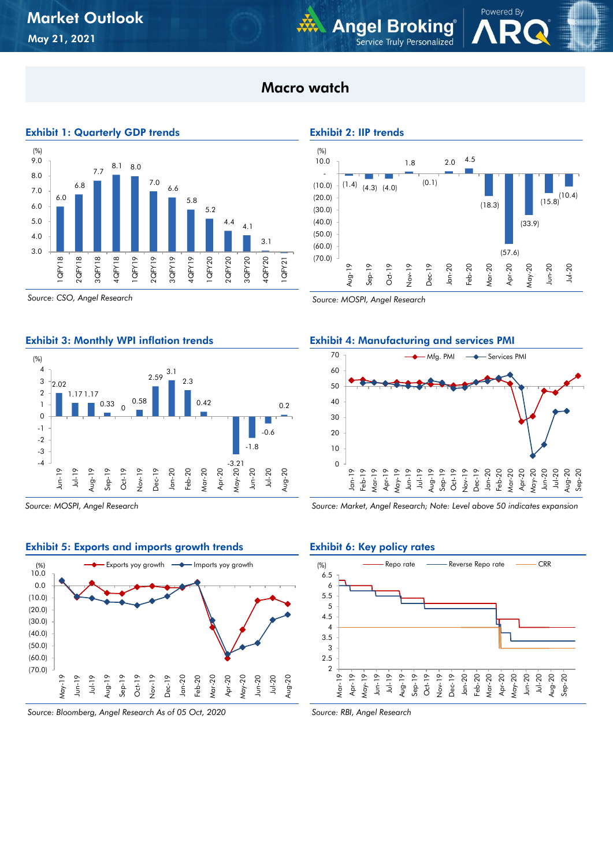## Macro watch



*Source: CSO, Angel Research*

#### Exhibit 3: Monthly WPI inflation trends



*Source: MOSPI, Angel Research*

#### Exhibit 5: Exports and imports growth trends



*Source: Bloomberg, Angel Research As of 05 Oct, 2020*

Exhibit 2: IIP trends

**Angel Broking** 

Service Truly Personalized



Powered By

*Source: MOSPI, Angel Research*

#### Exhibit 4: Manufacturing and services PMI



*Source: Market, Angel Research; Note: Level above 50 indicates expansion*

#### Exhibit 6: Key policy rates



*Source: RBI, Angel Research*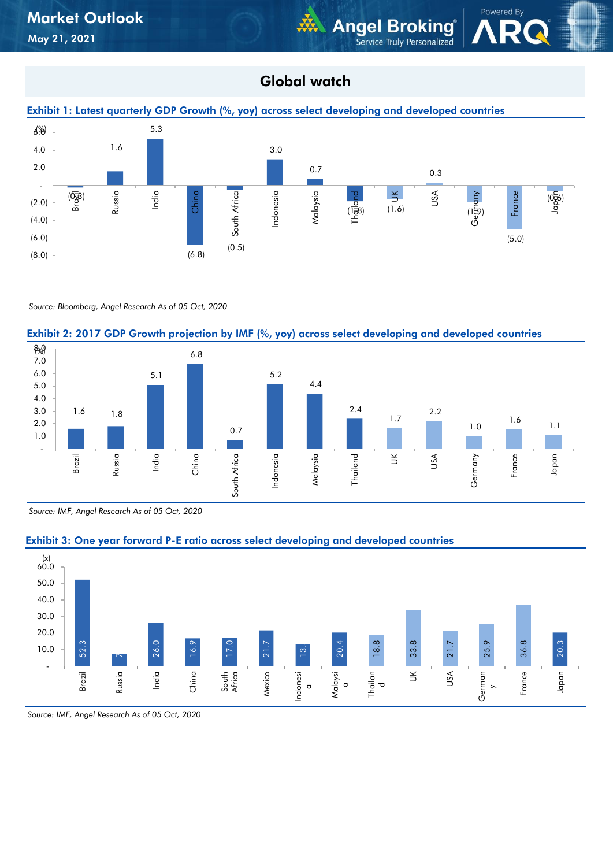## Global watch

**WA Angel Broking** 

Service Truly Personalized

Powered By





*Source: Bloomberg, Angel Research As of 05 Oct, 2020*

#### Exhibit 2: 2017 GDP Growth projection by IMF (%, yoy) across select developing and developed countries



*Source: IMF, Angel Research As of 05 Oct, 2020*



#### Exhibit 3: One year forward P-E ratio across select developing and developed countries

*Source: IMF, Angel Research As of 05 Oct, 2020*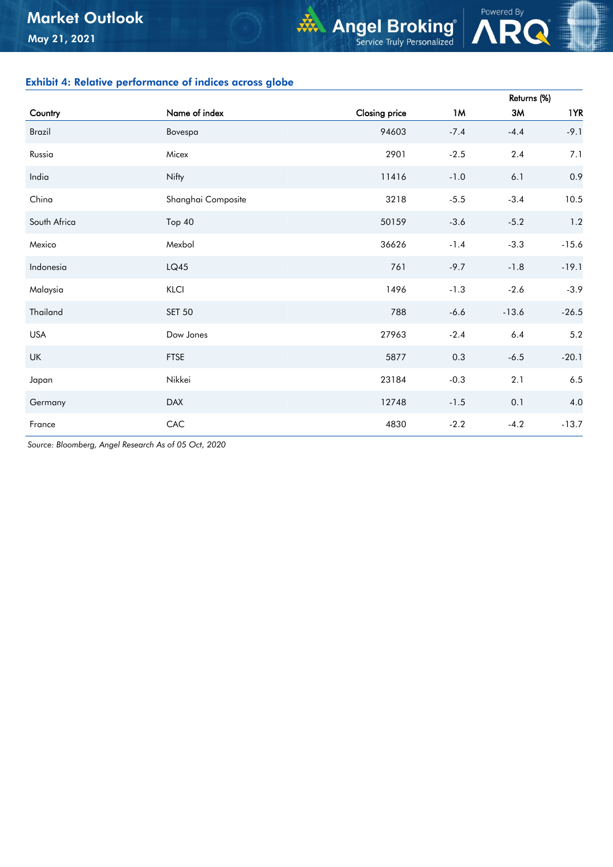### Exhibit 4: Relative performance of indices across globe

|               |                    |               |         | Returns (%) |         |
|---------------|--------------------|---------------|---------|-------------|---------|
| Country       | Name of index      | Closing price | 1M      | 3M          | 1YR     |
| <b>Brazil</b> | Bovespa            | 94603         | $-7.4$  | $-4.4$      | $-9.1$  |
| Russia        | Micex              | 2901          | $-2.5$  | 2.4         | 7.1     |
| India         | Nifty              | 11416         | $-1.0$  | 6.1         | 0.9     |
| China         | Shanghai Composite | 3218          | $-5.5$  | $-3.4$      | 10.5    |
| South Africa  | Top 40             | 50159         | $-3.6$  | $-5.2$      | 1.2     |
| Mexico        | Mexbol             | 36626         | $-1.4$  | $-3.3$      | $-15.6$ |
| Indonesia     | LQ45               | 761           | $-9.7$  | $-1.8$      | $-19.1$ |
| Malaysia      | KLCI               | 1496          | $-1.3$  | $-2.6$      | $-3.9$  |
| Thailand      | <b>SET 50</b>      | 788           | $-6.6$  | $-13.6$     | $-26.5$ |
| <b>USA</b>    | Dow Jones          | 27963         | $-2.4$  | $6.4\,$     | $5.2\,$ |
| UK            | <b>FTSE</b>        | 5877          | $0.3\,$ | $-6.5$      | $-20.1$ |
| Japan         | Nikkei             | 23184         | $-0.3$  | 2.1         | $6.5\,$ |
| Germany       | <b>DAX</b>         | 12748         | $-1.5$  | 0.1         | 4.0     |
| France        | CAC                | 4830          | $-2.2$  | $-4.2$      | $-13.7$ |

**Angel Broking**®

Powered By

*Source: Bloomberg, Angel Research As of 05 Oct, 2020*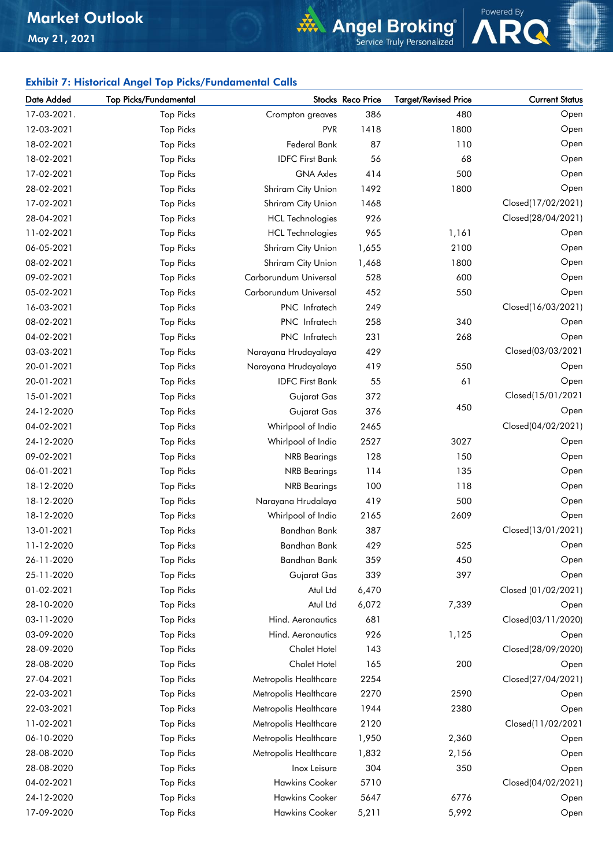# **Angel Broking**

Powered By

### Exhibit 7: Historical Angel Top Picks/Fundamental Calls

| Date Added  | <b>Top Picks/Fundamental</b> |                         | Stocks Reco Price | <b>Target/Revised Price</b> | <b>Current Status</b> |
|-------------|------------------------------|-------------------------|-------------------|-----------------------------|-----------------------|
| 17-03-2021. | <b>Top Picks</b>             | Crompton greaves        | 386               | 480                         | Open                  |
| 12-03-2021  | <b>Top Picks</b>             | <b>PVR</b>              | 1418              | 1800                        | Open                  |
| 18-02-2021  | <b>Top Picks</b>             | Federal Bank            | 87                | 110                         | Open                  |
| 18-02-2021  | <b>Top Picks</b>             | <b>IDFC First Bank</b>  | 56                | 68                          | Open                  |
| 17-02-2021  | <b>Top Picks</b>             | <b>GNA Axles</b>        | 414               | 500                         | Open                  |
| 28-02-2021  | <b>Top Picks</b>             | Shriram City Union      | 1492              | 1800                        | Open                  |
| 17-02-2021  | <b>Top Picks</b>             | Shriram City Union      | 1468              |                             | Closed(17/02/2021)    |
| 28-04-2021  | <b>Top Picks</b>             | <b>HCL Technologies</b> | 926               |                             | Closed(28/04/2021)    |
| 11-02-2021  | <b>Top Picks</b>             | <b>HCL Technologies</b> | 965               | 1,161                       | Open                  |
| 06-05-2021  | <b>Top Picks</b>             | Shriram City Union      | 1,655             | 2100                        | Open                  |
| 08-02-2021  | <b>Top Picks</b>             | Shriram City Union      | 1,468             | 1800                        | Open                  |
| 09-02-2021  | <b>Top Picks</b>             | Carborundum Universal   | 528               | 600                         | Open                  |
| 05-02-2021  | <b>Top Picks</b>             | Carborundum Universal   | 452               | 550                         | Open                  |
| 16-03-2021  | <b>Top Picks</b>             | PNC Infratech           | 249               |                             | Closed(16/03/2021)    |
| 08-02-2021  | <b>Top Picks</b>             | PNC Infratech           | 258               | 340                         | Open                  |
| 04-02-2021  | <b>Top Picks</b>             | PNC Infratech           | 231               | 268                         | Open                  |
| 03-03-2021  | <b>Top Picks</b>             | Narayana Hrudayalaya    | 429               |                             | Closed(03/03/2021     |
| 20-01-2021  | <b>Top Picks</b>             | Narayana Hrudayalaya    | 419               | 550                         | Open                  |
| 20-01-2021  | <b>Top Picks</b>             | <b>IDFC First Bank</b>  | 55                | 61                          | Open                  |
| 15-01-2021  | <b>Top Picks</b>             | Gujarat Gas             | 372               |                             | Closed(15/01/2021     |
| 24-12-2020  | <b>Top Picks</b>             | Gujarat Gas             | 376               | 450                         | Open                  |
| 04-02-2021  | <b>Top Picks</b>             | Whirlpool of India      | 2465              |                             | Closed(04/02/2021)    |
| 24-12-2020  | <b>Top Picks</b>             | Whirlpool of India      | 2527              | 3027                        | Open                  |
| 09-02-2021  | <b>Top Picks</b>             | <b>NRB</b> Bearings     | 128               | 150                         | Open                  |
| 06-01-2021  | <b>Top Picks</b>             | <b>NRB</b> Bearings     | 114               | 135                         | Open                  |
| 18-12-2020  | <b>Top Picks</b>             | <b>NRB</b> Bearings     | 100               | 118                         | Open                  |
| 18-12-2020  | <b>Top Picks</b>             | Narayana Hrudalaya      | 419               | 500                         | Open                  |
| 18-12-2020  | <b>Top Picks</b>             | Whirlpool of India      | 2165              | 2609                        | Open                  |
| 13-01-2021  | <b>Top Picks</b>             | Bandhan Bank            | 387               |                             | Closed(13/01/2021)    |
| 11-12-2020  | <b>Top Picks</b>             | Bandhan Bank            | 429               | 525                         | Open                  |
| 26-11-2020  | <b>Top Picks</b>             | <b>Bandhan Bank</b>     | 359               | 450                         | Open                  |
| 25-11-2020  | <b>Top Picks</b>             | Gujarat Gas             | 339               | 397                         | Open                  |
| 01-02-2021  | <b>Top Picks</b>             | Atul Ltd                | 6,470             |                             | Closed (01/02/2021)   |
| 28-10-2020  | <b>Top Picks</b>             | Atul Ltd                | 6,072             | 7,339                       | Open                  |
| 03-11-2020  | <b>Top Picks</b>             | Hind. Aeronautics       | 681               |                             | Closed(03/11/2020)    |
| 03-09-2020  | <b>Top Picks</b>             | Hind. Aeronautics       | 926               | 1,125                       | Open                  |
| 28-09-2020  | <b>Top Picks</b>             | <b>Chalet Hotel</b>     | 143               |                             | Closed(28/09/2020)    |
| 28-08-2020  | <b>Top Picks</b>             | Chalet Hotel            | 165               | 200                         | Open                  |
| 27-04-2021  | <b>Top Picks</b>             | Metropolis Healthcare   | 2254              |                             | Closed(27/04/2021)    |
| 22-03-2021  | <b>Top Picks</b>             | Metropolis Healthcare   | 2270              | 2590                        | Open                  |
| 22-03-2021  | <b>Top Picks</b>             | Metropolis Healthcare   | 1944              | 2380                        | Open                  |
| 11-02-2021  | <b>Top Picks</b>             | Metropolis Healthcare   | 2120              |                             | Closed(11/02/2021     |
| 06-10-2020  | <b>Top Picks</b>             | Metropolis Healthcare   | 1,950             | 2,360                       | Open                  |
| 28-08-2020  | <b>Top Picks</b>             | Metropolis Healthcare   | 1,832             | 2,156                       | Open                  |
| 28-08-2020  | <b>Top Picks</b>             | Inox Leisure            | 304               | 350                         | Open                  |
| 04-02-2021  | <b>Top Picks</b>             | <b>Hawkins Cooker</b>   | 5710              |                             | Closed(04/02/2021)    |
| 24-12-2020  | <b>Top Picks</b>             | <b>Hawkins Cooker</b>   | 5647              | 6776                        | Open                  |
| 17-09-2020  | <b>Top Picks</b>             | Hawkins Cooker          | 5,211             | 5,992                       | Open                  |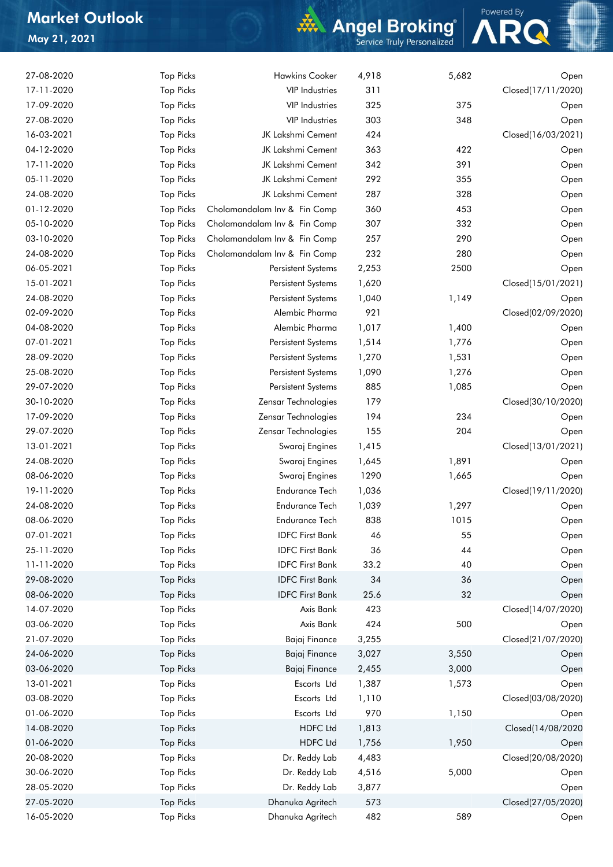## Market Outlook May 21, 2021

# **Angel Broking**



| 27-08-2020 | <b>Top Picks</b> | <b>Hawkins Cooker</b>        | 4,918 | 5,682 | Open               |
|------------|------------------|------------------------------|-------|-------|--------------------|
| 17-11-2020 | <b>Top Picks</b> | <b>VIP Industries</b>        | 311   |       | Closed(17/11/2020) |
| 17-09-2020 | <b>Top Picks</b> | <b>VIP Industries</b>        | 325   | 375   | Open               |
| 27-08-2020 | <b>Top Picks</b> | <b>VIP Industries</b>        | 303   | 348   | Open               |
| 16-03-2021 | <b>Top Picks</b> | JK Lakshmi Cement            | 424   |       | Closed(16/03/2021) |
| 04-12-2020 | <b>Top Picks</b> | JK Lakshmi Cement            | 363   | 422   | Open               |
| 17-11-2020 | <b>Top Picks</b> | JK Lakshmi Cement            | 342   | 391   | Open               |
| 05-11-2020 | <b>Top Picks</b> | JK Lakshmi Cement            | 292   | 355   | Open               |
| 24-08-2020 | <b>Top Picks</b> | JK Lakshmi Cement            | 287   | 328   | Open               |
| 01-12-2020 | <b>Top Picks</b> | Cholamandalam Inv & Fin Comp | 360   | 453   | Open               |
| 05-10-2020 | <b>Top Picks</b> | Cholamandalam Inv & Fin Comp | 307   | 332   | Open               |
| 03-10-2020 | <b>Top Picks</b> | Cholamandalam Inv & Fin Comp | 257   | 290   | Open               |
| 24-08-2020 | <b>Top Picks</b> | Cholamandalam Inv & Fin Comp | 232   | 280   | Open               |
| 06-05-2021 | <b>Top Picks</b> | Persistent Systems           | 2,253 | 2500  | Open               |
| 15-01-2021 | <b>Top Picks</b> | Persistent Systems           | 1,620 |       | Closed(15/01/2021) |
|            |                  |                              |       |       |                    |
| 24-08-2020 | <b>Top Picks</b> | Persistent Systems           | 1,040 | 1,149 | Open               |
| 02-09-2020 | <b>Top Picks</b> | Alembic Pharma               | 921   |       | Closed(02/09/2020) |
| 04-08-2020 | <b>Top Picks</b> | Alembic Pharma               | 1,017 | 1,400 | Open               |
| 07-01-2021 | <b>Top Picks</b> | Persistent Systems           | 1,514 | 1,776 | Open               |
| 28-09-2020 | <b>Top Picks</b> | Persistent Systems           | 1,270 | 1,531 | Open               |
| 25-08-2020 | <b>Top Picks</b> | Persistent Systems           | 1,090 | 1,276 | Open               |
| 29-07-2020 | <b>Top Picks</b> | Persistent Systems           | 885   | 1,085 | Open               |
| 30-10-2020 | <b>Top Picks</b> | Zensar Technologies          | 179   |       | Closed(30/10/2020) |
| 17-09-2020 | <b>Top Picks</b> | Zensar Technologies          | 194   | 234   | Open               |
| 29-07-2020 | <b>Top Picks</b> | Zensar Technologies          | 155   | 204   | Open               |
| 13-01-2021 | <b>Top Picks</b> | Swaraj Engines               | 1,415 |       | Closed(13/01/2021) |
| 24-08-2020 | <b>Top Picks</b> | Swaraj Engines               | 1,645 | 1,891 | Open               |
| 08-06-2020 | <b>Top Picks</b> | Swaraj Engines               | 1290  | 1,665 | Open               |
| 19-11-2020 | <b>Top Picks</b> | <b>Endurance Tech</b>        | 1,036 |       | Closed(19/11/2020) |
| 24-08-2020 | <b>Top Picks</b> | <b>Endurance Tech</b>        | 1,039 | 1,297 | Open               |
| 08-06-2020 | <b>Top Picks</b> | <b>Endurance Tech</b>        | 838   | 1015  | Open               |
| 07-01-2021 | <b>Top Picks</b> | <b>IDFC First Bank</b>       | 46    | 55    | Open               |
| 25-11-2020 | <b>Top Picks</b> | <b>IDFC First Bank</b>       | 36    | 44    | Open               |
| 11-11-2020 | <b>Top Picks</b> | <b>IDFC First Bank</b>       | 33.2  | 40    | Open               |
| 29-08-2020 | <b>Top Picks</b> | <b>IDFC First Bank</b>       | 34    | 36    | Open               |
| 08-06-2020 | <b>Top Picks</b> | <b>IDFC First Bank</b>       | 25.6  | 32    | Open               |
| 14-07-2020 | <b>Top Picks</b> | Axis Bank                    | 423   |       | Closed(14/07/2020) |
| 03-06-2020 | <b>Top Picks</b> | Axis Bank                    | 424   | 500   | Open               |
| 21-07-2020 | <b>Top Picks</b> | Bajaj Finance                | 3,255 |       | Closed(21/07/2020) |
| 24-06-2020 | <b>Top Picks</b> | Bajaj Finance                | 3,027 | 3,550 | Open               |
| 03-06-2020 | <b>Top Picks</b> | Bajaj Finance                | 2,455 | 3,000 | Open               |
| 13-01-2021 | <b>Top Picks</b> | Escorts Ltd                  | 1,387 | 1,573 | Open               |
| 03-08-2020 | <b>Top Picks</b> | Escorts Ltd                  | 1,110 |       | Closed(03/08/2020) |
|            |                  |                              | 970   |       |                    |
| 01-06-2020 | <b>Top Picks</b> | Escorts Ltd                  |       | 1,150 | Open               |
| 14-08-2020 | <b>Top Picks</b> | <b>HDFC Ltd</b>              | 1,813 |       | Closed(14/08/2020  |
| 01-06-2020 | <b>Top Picks</b> | <b>HDFC Ltd</b>              | 1,756 | 1,950 | Open               |
| 20-08-2020 | <b>Top Picks</b> | Dr. Reddy Lab                | 4,483 |       | Closed(20/08/2020) |
| 30-06-2020 | <b>Top Picks</b> | Dr. Reddy Lab                | 4,516 | 5,000 | Open               |
| 28-05-2020 | <b>Top Picks</b> | Dr. Reddy Lab                | 3,877 |       | Open               |
| 27-05-2020 | <b>Top Picks</b> | Dhanuka Agritech             | 573   |       | Closed(27/05/2020) |
| 16-05-2020 | <b>Top Picks</b> | Dhanuka Agritech             | 482   | 589   | Open               |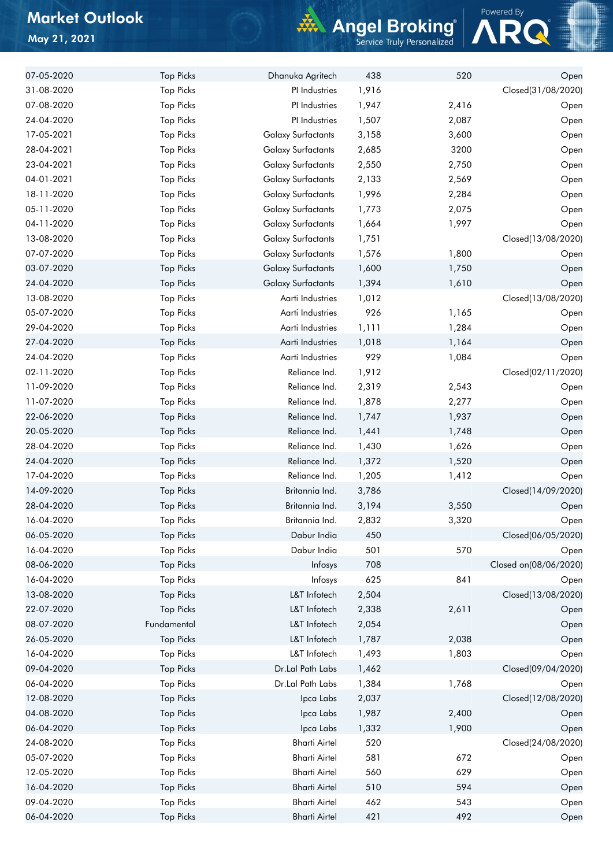## Market Outlook May 21, 2021

# **Angel Broking**



| 07-05-2020 | <b>Top Picks</b> | Dhanuka Agritech          | 438   | 520   | Open                  |
|------------|------------------|---------------------------|-------|-------|-----------------------|
| 31-08-2020 | <b>Top Picks</b> | PI Industries             | 1,916 |       | Closed(31/08/2020)    |
| 07-08-2020 | <b>Top Picks</b> | PI Industries             | 1,947 | 2,416 | Open                  |
| 24-04-2020 | <b>Top Picks</b> | PI Industries             | 1,507 | 2,087 | Open                  |
| 17-05-2021 | <b>Top Picks</b> | <b>Galaxy Surfactants</b> | 3,158 | 3,600 | Open                  |
| 28-04-2021 | <b>Top Picks</b> | <b>Galaxy Surfactants</b> | 2,685 | 3200  | Open                  |
| 23-04-2021 | <b>Top Picks</b> | <b>Galaxy Surfactants</b> | 2,550 | 2,750 | Open                  |
| 04-01-2021 | <b>Top Picks</b> | <b>Galaxy Surfactants</b> | 2,133 | 2,569 | Open                  |
| 18-11-2020 | <b>Top Picks</b> | <b>Galaxy Surfactants</b> | 1,996 | 2,284 | Open                  |
| 05-11-2020 | <b>Top Picks</b> | <b>Galaxy Surfactants</b> | 1,773 | 2,075 | Open                  |
| 04-11-2020 | <b>Top Picks</b> | <b>Galaxy Surfactants</b> | 1,664 | 1,997 | Open                  |
| 13-08-2020 | <b>Top Picks</b> | <b>Galaxy Surfactants</b> | 1,751 |       | Closed(13/08/2020)    |
| 07-07-2020 | <b>Top Picks</b> | <b>Galaxy Surfactants</b> | 1,576 | 1,800 | Open                  |
| 03-07-2020 | <b>Top Picks</b> | <b>Galaxy Surfactants</b> | 1,600 | 1,750 | Open                  |
| 24-04-2020 | <b>Top Picks</b> | <b>Galaxy Surfactants</b> | 1,394 | 1,610 | Open                  |
| 13-08-2020 | <b>Top Picks</b> | Aarti Industries          | 1,012 |       | Closed(13/08/2020)    |
| 05-07-2020 | <b>Top Picks</b> | Aarti Industries          | 926   | 1,165 | Open                  |
| 29-04-2020 | <b>Top Picks</b> | Aarti Industries          | 1,111 | 1,284 | Open                  |
| 27-04-2020 | <b>Top Picks</b> | Aarti Industries          | 1,018 | 1,164 | Open                  |
| 24-04-2020 | <b>Top Picks</b> | Aarti Industries          | 929   | 1,084 | Open                  |
| 02-11-2020 | <b>Top Picks</b> | Reliance Ind.             | 1,912 |       | Closed(02/11/2020)    |
| 11-09-2020 | <b>Top Picks</b> | Reliance Ind.             | 2,319 | 2,543 | Open                  |
| 11-07-2020 | <b>Top Picks</b> | Reliance Ind.             | 1,878 | 2,277 | Open                  |
| 22-06-2020 | <b>Top Picks</b> | Reliance Ind.             | 1,747 | 1,937 | Open                  |
| 20-05-2020 | <b>Top Picks</b> | Reliance Ind.             | 1,441 | 1,748 | Open                  |
| 28-04-2020 | <b>Top Picks</b> | Reliance Ind.             | 1,430 | 1,626 | Open                  |
| 24-04-2020 | <b>Top Picks</b> | Reliance Ind.             | 1,372 | 1,520 | Open                  |
| 17-04-2020 | <b>Top Picks</b> | Reliance Ind.             | 1,205 | 1,412 | Open                  |
| 14-09-2020 | <b>Top Picks</b> | Britannia Ind.            | 3,786 |       | Closed(14/09/2020)    |
| 28-04-2020 | <b>Top Picks</b> | Britannia Ind.            | 3,194 | 3,550 |                       |
| 16-04-2020 | <b>Top Picks</b> | Britannia Ind.            | 2,832 | 3,320 | Open<br>Open          |
| 06-05-2020 | <b>Top Picks</b> | Dabur India               | 450   |       | Closed(06/05/2020)    |
| 16-04-2020 | <b>Top Picks</b> | Dabur India               | 501   | 570   |                       |
| 08-06-2020 |                  |                           | 708   |       | Open                  |
|            | <b>Top Picks</b> | Infosys                   |       |       | Closed on(08/06/2020) |
| 16-04-2020 | <b>Top Picks</b> | Infosys                   | 625   | 841   | Open                  |
| 13-08-2020 | <b>Top Picks</b> | L&T Infotech              | 2,504 |       | Closed(13/08/2020)    |
| 22-07-2020 | <b>Top Picks</b> | L&T Infotech              | 2,338 | 2,611 | Open                  |
| 08-07-2020 | Fundamental      | L&T Infotech              | 2,054 |       | Open                  |
| 26-05-2020 | <b>Top Picks</b> | L&T Infotech              | 1,787 | 2,038 | Open                  |
| 16-04-2020 | <b>Top Picks</b> | L&T Infotech              | 1,493 | 1,803 | Open                  |
| 09-04-2020 | <b>Top Picks</b> | Dr.Lal Path Labs          | 1,462 |       | Closed(09/04/2020)    |
| 06-04-2020 | <b>Top Picks</b> | Dr.Lal Path Labs          | 1,384 | 1,768 | Open                  |
| 12-08-2020 | <b>Top Picks</b> | Ipca Labs                 | 2,037 |       | Closed(12/08/2020)    |
| 04-08-2020 | <b>Top Picks</b> | Ipca Labs                 | 1,987 | 2,400 | Open                  |
| 06-04-2020 | <b>Top Picks</b> | Ipca Labs                 | 1,332 | 1,900 | Open                  |
| 24-08-2020 | <b>Top Picks</b> | <b>Bharti Airtel</b>      | 520   |       | Closed(24/08/2020)    |
| 05-07-2020 | <b>Top Picks</b> | <b>Bharti Airtel</b>      | 581   | 672   | Open                  |
| 12-05-2020 | <b>Top Picks</b> | <b>Bharti Airtel</b>      | 560   | 629   | Open                  |
| 16-04-2020 | <b>Top Picks</b> | <b>Bharti Airtel</b>      | 510   | 594   | Open                  |
| 09-04-2020 | <b>Top Picks</b> | <b>Bharti Airtel</b>      | 462   | 543   | Open                  |
| 06-04-2020 | <b>Top Picks</b> | <b>Bharti Airtel</b>      | 421   | 492   | Open                  |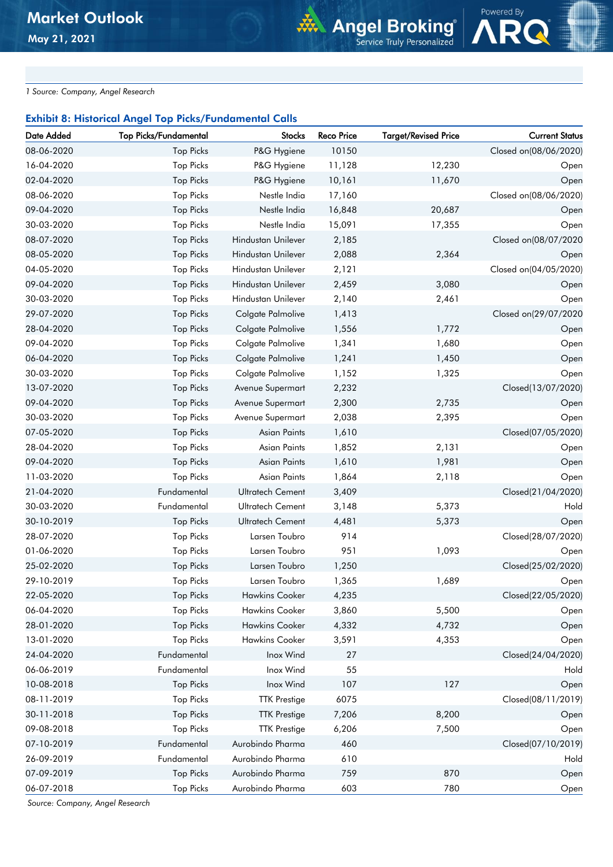*1 Source: Company, Angel Research*

#### Exhibit 8: Historical Angel Top Picks/Fundamental Calls

| Date Added | <b>Top Picks/Fundamental</b> | <b>Stocks</b>           | <b>Reco Price</b> | <b>Target/Revised Price</b> | <b>Current Status</b> |
|------------|------------------------------|-------------------------|-------------------|-----------------------------|-----------------------|
| 08-06-2020 | <b>Top Picks</b>             | P&G Hygiene             | 10150             |                             | Closed on(08/06/2020) |
| 16-04-2020 | <b>Top Picks</b>             | P&G Hygiene             | 11,128            | 12,230                      | Open                  |
| 02-04-2020 | <b>Top Picks</b>             | P&G Hygiene             | 10,161            | 11,670                      | Open                  |
| 08-06-2020 | <b>Top Picks</b>             | Nestle India            | 17,160            |                             | Closed on(08/06/2020) |
| 09-04-2020 | <b>Top Picks</b>             | Nestle India            | 16,848            | 20,687                      | Open                  |
| 30-03-2020 | <b>Top Picks</b>             | Nestle India            | 15,091            | 17,355                      | Open                  |
| 08-07-2020 | <b>Top Picks</b>             | Hindustan Unilever      | 2,185             |                             | Closed on(08/07/2020  |
| 08-05-2020 | <b>Top Picks</b>             | Hindustan Unilever      | 2,088             | 2,364                       | Open                  |
| 04-05-2020 | <b>Top Picks</b>             | Hindustan Unilever      | 2,121             |                             | Closed on(04/05/2020) |
| 09-04-2020 | <b>Top Picks</b>             | Hindustan Unilever      | 2,459             | 3,080                       | Open                  |
| 30-03-2020 | <b>Top Picks</b>             | Hindustan Unilever      | 2,140             | 2,461                       | Open                  |
| 29-07-2020 | <b>Top Picks</b>             | Colgate Palmolive       | 1,413             |                             | Closed on(29/07/2020  |
| 28-04-2020 | <b>Top Picks</b>             | Colgate Palmolive       | 1,556             | 1,772                       | Open                  |
| 09-04-2020 | <b>Top Picks</b>             | Colgate Palmolive       | 1,341             | 1,680                       | Open                  |
| 06-04-2020 | <b>Top Picks</b>             | Colgate Palmolive       | 1,241             | 1,450                       | Open                  |
| 30-03-2020 | <b>Top Picks</b>             | Colgate Palmolive       | 1,152             | 1,325                       | Open                  |
| 13-07-2020 | <b>Top Picks</b>             | Avenue Supermart        | 2,232             |                             | Closed(13/07/2020)    |
| 09-04-2020 | <b>Top Picks</b>             | Avenue Supermart        | 2,300             | 2,735                       | Open                  |
| 30-03-2020 | <b>Top Picks</b>             | Avenue Supermart        | 2,038             | 2,395                       | Open                  |
| 07-05-2020 | <b>Top Picks</b>             | Asian Paints            | 1,610             |                             | Closed(07/05/2020)    |
| 28-04-2020 | <b>Top Picks</b>             | Asian Paints            | 1,852             | 2,131                       | Open                  |
| 09-04-2020 | <b>Top Picks</b>             | Asian Paints            | 1,610             | 1,981                       | Open                  |
| 11-03-2020 | <b>Top Picks</b>             | Asian Paints            | 1,864             | 2,118                       | Open                  |
| 21-04-2020 | Fundamental                  | Ultratech Cement        | 3,409             |                             | Closed(21/04/2020)    |
| 30-03-2020 | Fundamental                  | <b>Ultratech Cement</b> | 3,148             | 5,373                       | Hold                  |
| 30-10-2019 | <b>Top Picks</b>             | <b>Ultratech Cement</b> | 4,481             | 5,373                       | Open                  |
| 28-07-2020 | <b>Top Picks</b>             | Larsen Toubro           | 914               |                             | Closed(28/07/2020)    |
| 01-06-2020 | <b>Top Picks</b>             | Larsen Toubro           | 951               | 1,093                       | Open                  |
| 25-02-2020 | <b>Top Picks</b>             | Larsen Toubro           | 1,250             |                             | Closed(25/02/2020)    |
| 29-10-2019 | <b>Top Picks</b>             | Larsen Toubro           | 1,365             | 1,689                       | Open                  |
| 22-05-2020 | <b>Top Picks</b>             | <b>Hawkins Cooker</b>   | 4,235             |                             | Closed(22/05/2020)    |
| 06-04-2020 | <b>Top Picks</b>             | Hawkins Cooker          | 3,860             | 5,500                       | Open                  |
| 28-01-2020 | <b>Top Picks</b>             | <b>Hawkins Cooker</b>   | 4,332             | 4,732                       | Open                  |
| 13-01-2020 | <b>Top Picks</b>             | <b>Hawkins Cooker</b>   | 3,591             | 4,353                       | Open                  |
| 24-04-2020 | Fundamental                  | Inox Wind               | 27                |                             | Closed(24/04/2020)    |
| 06-06-2019 | Fundamental                  | Inox Wind               | 55                |                             | Hold                  |
| 10-08-2018 | <b>Top Picks</b>             | Inox Wind               | 107               | 127                         | Open                  |
| 08-11-2019 | <b>Top Picks</b>             | <b>TTK Prestige</b>     | 6075              |                             | Closed(08/11/2019)    |
| 30-11-2018 | <b>Top Picks</b>             | <b>TTK Prestige</b>     | 7,206             | 8,200                       | Open                  |
| 09-08-2018 | <b>Top Picks</b>             | <b>TTK Prestige</b>     | 6,206             | 7,500                       | Open                  |
| 07-10-2019 | Fundamental                  | Aurobindo Pharma        | 460               |                             | Closed(07/10/2019)    |
| 26-09-2019 | Fundamental                  | Aurobindo Pharma        | 610               |                             | Hold                  |
| 07-09-2019 | <b>Top Picks</b>             | Aurobindo Pharma        | 759               | 870                         | Open                  |
| 06-07-2018 | <b>Top Picks</b>             | Aurobindo Pharma        | 603               | 780                         | Open                  |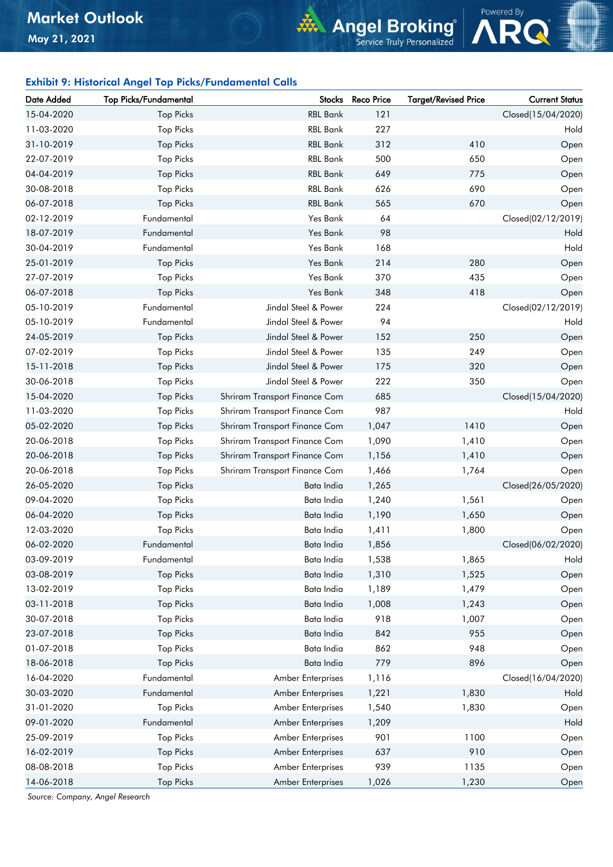### Exhibit 9: Historical Angel Top Picks/Fundamental Calls

| Date Added | <b>Top Picks/Fundamental</b> |                               | Stocks Reco Price | <b>Target/Revised Price</b> | <b>Current Status</b> |
|------------|------------------------------|-------------------------------|-------------------|-----------------------------|-----------------------|
| 15-04-2020 | <b>Top Picks</b>             | <b>RBL Bank</b>               | 121               |                             | Closed(15/04/2020)    |
| 11-03-2020 | <b>Top Picks</b>             | <b>RBL Bank</b>               | 227               |                             | Hold                  |
| 31-10-2019 | <b>Top Picks</b>             | <b>RBL Bank</b>               | 312               | 410                         | Open                  |
| 22-07-2019 | <b>Top Picks</b>             | <b>RBL Bank</b>               | 500               | 650                         | Open                  |
| 04-04-2019 | <b>Top Picks</b>             | <b>RBL Bank</b>               | 649               | 775                         | Open                  |
| 30-08-2018 | <b>Top Picks</b>             | <b>RBL Bank</b>               | 626               | 690                         | Open                  |
| 06-07-2018 | <b>Top Picks</b>             | <b>RBL Bank</b>               | 565               | 670                         | Open                  |
| 02-12-2019 | Fundamental                  | Yes Bank                      | 64                |                             | Closed(02/12/2019)    |
| 18-07-2019 | Fundamental                  | Yes Bank                      | 98                |                             | Hold                  |
| 30-04-2019 | Fundamental                  | Yes Bank                      | 168               |                             | Hold                  |
| 25-01-2019 | <b>Top Picks</b>             | Yes Bank                      | 214               | 280                         | Open                  |
| 27-07-2019 | <b>Top Picks</b>             | Yes Bank                      | 370               | 435                         | Open                  |
| 06-07-2018 | <b>Top Picks</b>             | Yes Bank                      | 348               | 418                         | Open                  |
| 05-10-2019 | Fundamental                  | Jindal Steel & Power          | 224               |                             | Closed(02/12/2019)    |
| 05-10-2019 | Fundamental                  | Jindal Steel & Power          | 94                |                             | Hold                  |
| 24-05-2019 | <b>Top Picks</b>             | Jindal Steel & Power          | 152               | 250                         | Open                  |
| 07-02-2019 | <b>Top Picks</b>             | Jindal Steel & Power          | 135               | 249                         | Open                  |
| 15-11-2018 | <b>Top Picks</b>             | Jindal Steel & Power          | 175               | 320                         | Open                  |
| 30-06-2018 | <b>Top Picks</b>             | Jindal Steel & Power          | 222               | 350                         | Open                  |
| 15-04-2020 | <b>Top Picks</b>             | Shriram Transport Finance Com | 685               |                             | Closed(15/04/2020)    |
| 11-03-2020 | <b>Top Picks</b>             | Shriram Transport Finance Com | 987               |                             | Hold                  |
| 05-02-2020 | <b>Top Picks</b>             | Shriram Transport Finance Com | 1,047             | 1410                        | Open                  |
| 20-06-2018 | <b>Top Picks</b>             | Shriram Transport Finance Com | 1,090             | 1,410                       | Open                  |
| 20-06-2018 | <b>Top Picks</b>             | Shriram Transport Finance Com | 1,156             | 1,410                       | Open                  |
| 20-06-2018 | <b>Top Picks</b>             | Shriram Transport Finance Com | 1,466             | 1,764                       | Open                  |
| 26-05-2020 | <b>Top Picks</b>             | Bata India                    | 1,265             |                             | Closed(26/05/2020)    |
| 09-04-2020 | <b>Top Picks</b>             | Bata India                    | 1,240             | 1,561                       | Open                  |
| 06-04-2020 | <b>Top Picks</b>             | Bata India                    | 1,190             | 1,650                       | Open                  |
| 12-03-2020 | <b>Top Picks</b>             | Bata India                    | 1,411             | 1,800                       | Open                  |
| 06-02-2020 | Fundamental                  | Bata India                    | 1,856             |                             | Closed(06/02/2020)    |
| 03-09-2019 | Fundamental                  | Bata India                    | 1,538             | 1,865                       | Hold                  |
| 03-08-2019 | <b>Top Picks</b>             | Bata India                    | 1,310             | 1,525                       | Open                  |
| 13-02-2019 | <b>Top Picks</b>             | Bata India                    | 1,189             | 1,479                       | Open                  |
| 03-11-2018 | <b>Top Picks</b>             | Bata India                    | 1,008             | 1,243                       | Open                  |
| 30-07-2018 | <b>Top Picks</b>             | Bata India                    | 918               | 1,007                       | Open                  |
| 23-07-2018 | <b>Top Picks</b>             | Bata India                    | 842               | 955                         | Open                  |
| 01-07-2018 | <b>Top Picks</b>             | Bata India                    | 862               | 948                         | Open                  |
| 18-06-2018 | <b>Top Picks</b>             | Bata India                    | 779               | 896                         | Open                  |
| 16-04-2020 | Fundamental                  | Amber Enterprises             | 1,116             |                             | Closed(16/04/2020)    |
| 30-03-2020 | Fundamental                  | Amber Enterprises             | 1,221             | 1,830                       | Hold                  |
| 31-01-2020 | <b>Top Picks</b>             | Amber Enterprises             | 1,540             | 1,830                       | Open                  |
| 09-01-2020 | Fundamental                  | Amber Enterprises             | 1,209             |                             | Hold                  |
| 25-09-2019 | <b>Top Picks</b>             | Amber Enterprises             | 901               | 1100                        | Open                  |
| 16-02-2019 | <b>Top Picks</b>             | Amber Enterprises             | 637               | 910                         | Open                  |
| 08-08-2018 | <b>Top Picks</b>             | Amber Enterprises             | 939               | 1135                        | Open                  |
| 14-06-2018 | <b>Top Picks</b>             | Amber Enterprises             | 1,026             | 1,230                       | Open                  |
|            |                              |                               |                   |                             |                       |

Powered By

**Angel Broking**®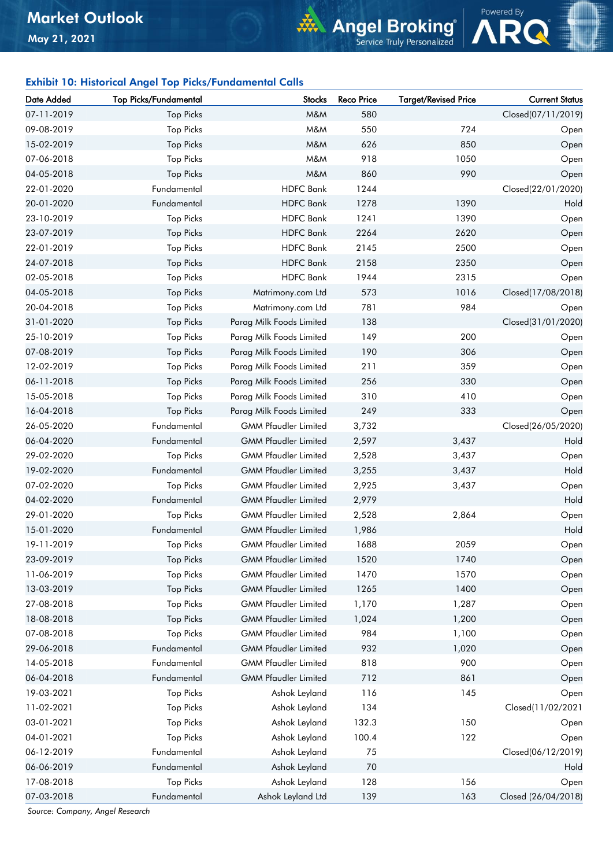### Exhibit 10: Historical Angel Top Picks/Fundamental Calls

| Date Added | <b>Top Picks/Fundamental</b> | <b>Stocks</b>               | <b>Reco Price</b> | <b>Target/Revised Price</b> | <b>Current Status</b> |
|------------|------------------------------|-----------------------------|-------------------|-----------------------------|-----------------------|
| 07-11-2019 | <b>Top Picks</b>             | M&M                         | 580               |                             | Closed(07/11/2019)    |
| 09-08-2019 | <b>Top Picks</b>             | M&M                         | 550               | 724                         | Open                  |
| 15-02-2019 | <b>Top Picks</b>             | M&M                         | 626               | 850                         | Open                  |
| 07-06-2018 | <b>Top Picks</b>             | M&M                         | 918               | 1050                        | Open                  |
| 04-05-2018 | <b>Top Picks</b>             | M&M                         | 860               | 990                         | Open                  |
| 22-01-2020 | Fundamental                  | <b>HDFC Bank</b>            | 1244              |                             | Closed(22/01/2020)    |
| 20-01-2020 | Fundamental                  | <b>HDFC Bank</b>            | 1278              | 1390                        | Hold                  |
| 23-10-2019 | <b>Top Picks</b>             | <b>HDFC Bank</b>            | 1241              | 1390                        | Open                  |
| 23-07-2019 | <b>Top Picks</b>             | <b>HDFC</b> Bank            | 2264              | 2620                        | Open                  |
| 22-01-2019 | <b>Top Picks</b>             | <b>HDFC Bank</b>            | 2145              | 2500                        | Open                  |
| 24-07-2018 | <b>Top Picks</b>             | <b>HDFC</b> Bank            | 2158              | 2350                        | Open                  |
| 02-05-2018 | <b>Top Picks</b>             | <b>HDFC Bank</b>            | 1944              | 2315                        | Open                  |
| 04-05-2018 | <b>Top Picks</b>             | Matrimony.com Ltd           | 573               | 1016                        | Closed(17/08/2018)    |
| 20-04-2018 | <b>Top Picks</b>             | Matrimony.com Ltd           | 781               | 984                         | Open                  |
| 31-01-2020 | <b>Top Picks</b>             | Parag Milk Foods Limited    | 138               |                             | Closed(31/01/2020)    |
| 25-10-2019 | <b>Top Picks</b>             | Parag Milk Foods Limited    | 149               | 200                         | Open                  |
| 07-08-2019 | <b>Top Picks</b>             | Parag Milk Foods Limited    | 190               | 306                         | Open                  |
| 12-02-2019 | <b>Top Picks</b>             | Parag Milk Foods Limited    | 211               | 359                         | Open                  |
| 06-11-2018 | <b>Top Picks</b>             | Parag Milk Foods Limited    | 256               | 330                         | Open                  |
| 15-05-2018 | <b>Top Picks</b>             | Parag Milk Foods Limited    | 310               | 410                         | Open                  |
| 16-04-2018 | <b>Top Picks</b>             | Parag Milk Foods Limited    | 249               | 333                         | Open                  |
| 26-05-2020 | Fundamental                  | <b>GMM Pfaudler Limited</b> | 3,732             |                             | Closed(26/05/2020)    |
| 06-04-2020 | Fundamental                  | <b>GMM Pfaudler Limited</b> | 2,597             | 3,437                       | Hold                  |
| 29-02-2020 | <b>Top Picks</b>             | <b>GMM Pfaudler Limited</b> | 2,528             | 3,437                       | Open                  |
| 19-02-2020 | Fundamental                  | <b>GMM Pfaudler Limited</b> | 3,255             | 3,437                       | Hold                  |
| 07-02-2020 | <b>Top Picks</b>             | <b>GMM Pfaudler Limited</b> | 2,925             | 3,437                       | Open                  |
| 04-02-2020 | Fundamental                  | <b>GMM Pfaudler Limited</b> | 2,979             |                             | Hold                  |
| 29-01-2020 | <b>Top Picks</b>             | <b>GMM Pfaudler Limited</b> | 2,528             | 2,864                       | Open                  |
| 15-01-2020 | Fundamental                  | <b>GMM Pfaudler Limited</b> | 1,986             |                             | Hold                  |
| 19-11-2019 | <b>Top Picks</b>             | <b>GMM Pfaudler Limited</b> | 1688              | 2059                        | Open                  |
| 23-09-2019 | <b>Top Picks</b>             | <b>GMM Pfaudler Limited</b> | 1520              | 1740                        | Open                  |
| 11-06-2019 | <b>Top Picks</b>             | <b>GMM Pfaudler Limited</b> | 1470              | 1570                        | Open                  |
| 13-03-2019 | <b>Top Picks</b>             | <b>GMM Pfaudler Limited</b> | 1265              | 1400                        | Open                  |
| 27-08-2018 | <b>Top Picks</b>             | <b>GMM Pfaudler Limited</b> | 1,170             | 1,287                       | Open                  |
| 18-08-2018 | <b>Top Picks</b>             | <b>GMM Pfaudler Limited</b> | 1,024             | 1,200                       | Open                  |
| 07-08-2018 | <b>Top Picks</b>             | <b>GMM Pfaudler Limited</b> | 984               | 1,100                       | Open                  |
| 29-06-2018 | Fundamental                  | <b>GMM Pfaudler Limited</b> | 932               | 1,020                       | Open                  |
| 14-05-2018 | Fundamental                  | <b>GMM Pfaudler Limited</b> | 818               | 900                         | Open                  |
| 06-04-2018 | Fundamental                  | <b>GMM Pfaudler Limited</b> | 712               | 861                         | Open                  |
| 19-03-2021 | <b>Top Picks</b>             | Ashok Leyland               | 116               | 145                         | Open                  |
| 11-02-2021 | <b>Top Picks</b>             | Ashok Leyland               | 134               |                             | Closed(11/02/2021     |
| 03-01-2021 | <b>Top Picks</b>             | Ashok Leyland               | 132.3             | 150                         | Open                  |
| 04-01-2021 | <b>Top Picks</b>             | Ashok Leyland               | 100.4             | 122                         | Open                  |
| 06-12-2019 | Fundamental                  | Ashok Leyland               | 75                |                             | Closed(06/12/2019)    |
| 06-06-2019 | Fundamental                  | Ashok Leyland               | 70                |                             | Hold                  |
| 17-08-2018 | <b>Top Picks</b>             | Ashok Leyland               | 128               | 156                         | Open                  |
| 07-03-2018 | Fundamental                  | Ashok Leyland Ltd           | 139               | 163                         | Closed (26/04/2018)   |
|            |                              |                             |                   |                             |                       |

Powered By

**Angel Broking**<sup>®</sup><br>Service Truly Personalized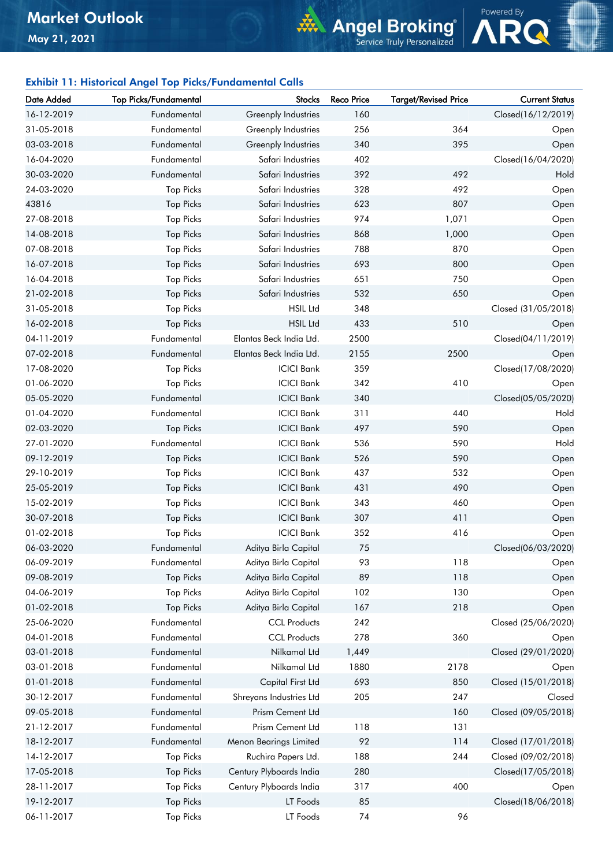# **Angel Broking**®



### Exhibit 11: Historical Angel Top Picks/Fundamental Calls

| Date Added | Top Picks/Fundamental | <b>Stocks</b>           | <b>Reco Price</b> | <b>Target/Revised Price</b> | <b>Current Status</b> |
|------------|-----------------------|-------------------------|-------------------|-----------------------------|-----------------------|
| 16-12-2019 | Fundamental           | Greenply Industries     | 160               |                             | Closed(16/12/2019)    |
| 31-05-2018 | Fundamental           | Greenply Industries     | 256               | 364                         | Open                  |
| 03-03-2018 | Fundamental           | Greenply Industries     | 340               | 395                         | Open                  |
| 16-04-2020 | Fundamental           | Safari Industries       | 402               |                             | Closed(16/04/2020)    |
| 30-03-2020 | Fundamental           | Safari Industries       | 392               | 492                         | Hold                  |
| 24-03-2020 | <b>Top Picks</b>      | Safari Industries       | 328               | 492                         | Open                  |
| 43816      | <b>Top Picks</b>      | Safari Industries       | 623               | 807                         | Open                  |
| 27-08-2018 | <b>Top Picks</b>      | Safari Industries       | 974               | 1,071                       | Open                  |
| 14-08-2018 | <b>Top Picks</b>      | Safari Industries       | 868               | 1,000                       | Open                  |
| 07-08-2018 | <b>Top Picks</b>      | Safari Industries       | 788               | 870                         | Open                  |
| 16-07-2018 | <b>Top Picks</b>      | Safari Industries       | 693               | 800                         | Open                  |
| 16-04-2018 | <b>Top Picks</b>      | Safari Industries       | 651               | 750                         | Open                  |
| 21-02-2018 | <b>Top Picks</b>      | Safari Industries       | 532               | 650                         | Open                  |
| 31-05-2018 | <b>Top Picks</b>      | <b>HSIL Ltd</b>         | 348               |                             | Closed (31/05/2018)   |
| 16-02-2018 | <b>Top Picks</b>      | <b>HSIL Ltd</b>         | 433               | 510                         | Open                  |
| 04-11-2019 | Fundamental           | Elantas Beck India Ltd. | 2500              |                             | Closed(04/11/2019)    |
| 07-02-2018 | Fundamental           | Elantas Beck India Ltd. | 2155              | 2500                        | Open                  |
| 17-08-2020 | <b>Top Picks</b>      | <b>ICICI Bank</b>       | 359               |                             | Closed(17/08/2020)    |
| 01-06-2020 | <b>Top Picks</b>      | <b>ICICI Bank</b>       | 342               | 410                         | Open                  |
| 05-05-2020 | Fundamental           | <b>ICICI Bank</b>       | 340               |                             | Closed(05/05/2020)    |
| 01-04-2020 | Fundamental           | <b>ICICI Bank</b>       | 311               | 440                         | Hold                  |
| 02-03-2020 | <b>Top Picks</b>      | <b>ICICI Bank</b>       | 497               | 590                         | Open                  |
| 27-01-2020 | Fundamental           | <b>ICICI Bank</b>       | 536               | 590                         | Hold                  |
| 09-12-2019 | <b>Top Picks</b>      | <b>ICICI Bank</b>       | 526               | 590                         | Open                  |
| 29-10-2019 | <b>Top Picks</b>      | <b>ICICI Bank</b>       | 437               | 532                         | Open                  |
| 25-05-2019 | <b>Top Picks</b>      | <b>ICICI Bank</b>       | 431               | 490                         | Open                  |
| 15-02-2019 | <b>Top Picks</b>      | <b>ICICI Bank</b>       | 343               | 460                         | Open                  |
| 30-07-2018 | <b>Top Picks</b>      | <b>ICICI Bank</b>       | 307               | 411                         | Open                  |
| 01-02-2018 | <b>Top Picks</b>      | <b>ICICI Bank</b>       | 352               | 416                         | Open                  |
| 06-03-2020 | Fundamental           | Aditya Birla Capital    | 75                |                             | Closed(06/03/2020)    |
| 06-09-2019 | Fundamental           | Aditya Birla Capital    | 93                | 118                         | Open                  |
| 09-08-2019 | <b>Top Picks</b>      | Aditya Birla Capital    | 89                | 118                         | Open                  |
| 04-06-2019 | <b>Top Picks</b>      | Aditya Birla Capital    | 102               | 130                         | Open                  |
| 01-02-2018 | <b>Top Picks</b>      | Aditya Birla Capital    | 167               | 218                         | Open                  |
| 25-06-2020 | Fundamental           | <b>CCL Products</b>     | 242               |                             | Closed (25/06/2020)   |
| 04-01-2018 | Fundamental           | <b>CCL Products</b>     | 278               | 360                         | Open                  |
| 03-01-2018 | Fundamental           | Nilkamal Ltd            | 1,449             |                             | Closed (29/01/2020)   |
| 03-01-2018 | Fundamental           | Nilkamal Ltd            | 1880              | 2178                        | Open                  |
| 01-01-2018 | Fundamental           | Capital First Ltd       | 693               | 850                         | Closed (15/01/2018)   |
| 30-12-2017 | Fundamental           | Shreyans Industries Ltd | 205               | 247                         | Closed                |
| 09-05-2018 | Fundamental           | Prism Cement Ltd        |                   | 160                         | Closed (09/05/2018)   |
| 21-12-2017 | Fundamental           | Prism Cement Ltd        | 118               | 131                         |                       |
| 18-12-2017 | Fundamental           | Menon Bearings Limited  | 92                | 114                         | Closed (17/01/2018)   |
| 14-12-2017 | <b>Top Picks</b>      | Ruchira Papers Ltd.     | 188               | 244                         | Closed (09/02/2018)   |
| 17-05-2018 | <b>Top Picks</b>      | Century Plyboards India | 280               |                             | Closed(17/05/2018)    |
| 28-11-2017 | <b>Top Picks</b>      | Century Plyboards India | 317               | 400                         | Open                  |
| 19-12-2017 | <b>Top Picks</b>      | LT Foods                | 85                |                             | Closed(18/06/2018)    |
| 06-11-2017 | <b>Top Picks</b>      | LT Foods                | 74                | 96                          |                       |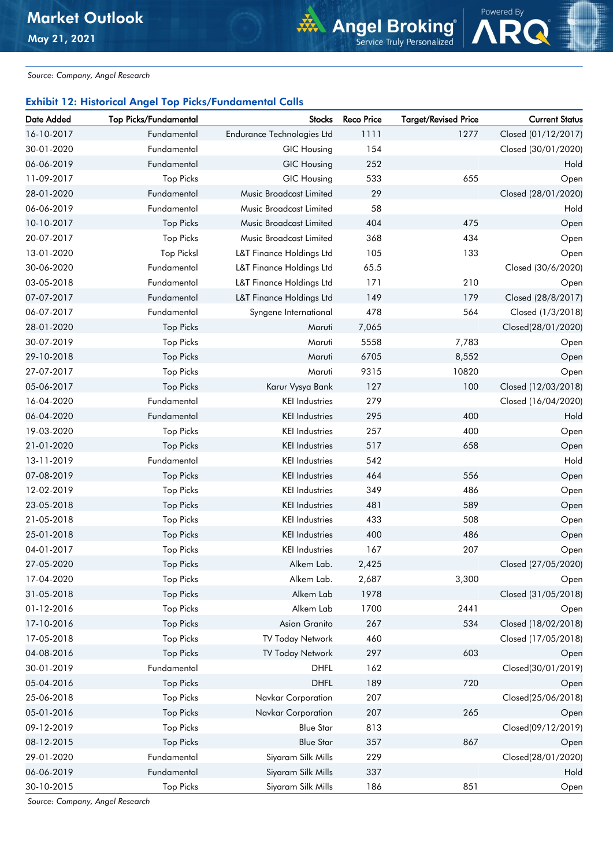*Source: Company, Angel Research*

## Exhibit 12: Historical Angel Top Picks/Fundamental Calls

| Date Added | <b>Top Picks/Fundamental</b> | <b>Stocks</b>                     | <b>Reco Price</b> | <b>Target/Revised Price</b> | <b>Current Status</b> |
|------------|------------------------------|-----------------------------------|-------------------|-----------------------------|-----------------------|
| 16-10-2017 | Fundamental                  | <b>Endurance Technologies Ltd</b> | 1111              | 1277                        | Closed (01/12/2017)   |
| 30-01-2020 | Fundamental                  | <b>GIC Housing</b>                | 154               |                             | Closed (30/01/2020)   |
| 06-06-2019 | Fundamental                  | <b>GIC Housing</b>                | 252               |                             | Hold                  |
| 11-09-2017 | <b>Top Picks</b>             | <b>GIC Housing</b>                | 533               | 655                         | Open                  |
| 28-01-2020 | Fundamental                  | Music Broadcast Limited           | 29                |                             | Closed (28/01/2020)   |
| 06-06-2019 | Fundamental                  | Music Broadcast Limited           | 58                |                             | Hold                  |
| 10-10-2017 | <b>Top Picks</b>             | Music Broadcast Limited           | 404               | 475                         | Open                  |
| 20-07-2017 | <b>Top Picks</b>             | <b>Music Broadcast Limited</b>    | 368               | 434                         | Open                  |
| 13-01-2020 | <b>Top Picksl</b>            | L&T Finance Holdings Ltd          | 105               | 133                         | Open                  |
| 30-06-2020 | Fundamental                  | L&T Finance Holdings Ltd          | 65.5              |                             | Closed (30/6/2020)    |
| 03-05-2018 | Fundamental                  | L&T Finance Holdings Ltd          | 171               | 210                         | Open                  |
| 07-07-2017 | Fundamental                  | L&T Finance Holdings Ltd          | 149               | 179                         | Closed (28/8/2017)    |
| 06-07-2017 | Fundamental                  | Syngene International             | 478               | 564                         | Closed (1/3/2018)     |
| 28-01-2020 | <b>Top Picks</b>             | Maruti                            | 7,065             |                             | Closed(28/01/2020)    |
| 30-07-2019 | <b>Top Picks</b>             | Maruti                            | 5558              | 7,783                       | Open                  |
| 29-10-2018 | <b>Top Picks</b>             | Maruti                            | 6705              | 8,552                       | Open                  |
| 27-07-2017 | <b>Top Picks</b>             | Maruti                            | 9315              | 10820                       | Open                  |
| 05-06-2017 | <b>Top Picks</b>             | Karur Vysya Bank                  | 127               | 100                         | Closed (12/03/2018)   |
| 16-04-2020 | Fundamental                  | <b>KEI Industries</b>             | 279               |                             | Closed (16/04/2020)   |
| 06-04-2020 | Fundamental                  | <b>KEI</b> Industries             | 295               | 400                         | Hold                  |
| 19-03-2020 | <b>Top Picks</b>             | <b>KEI Industries</b>             | 257               | 400                         | Open                  |
| 21-01-2020 | <b>Top Picks</b>             | <b>KEI Industries</b>             | 517               | 658                         | Open                  |
| 13-11-2019 | Fundamental                  | <b>KEI Industries</b>             | 542               |                             | Hold                  |
| 07-08-2019 | <b>Top Picks</b>             | <b>KEI Industries</b>             | 464               | 556                         | Open                  |
| 12-02-2019 | <b>Top Picks</b>             | <b>KEI</b> Industries             | 349               | 486                         | Open                  |
| 23-05-2018 | <b>Top Picks</b>             | <b>KEI Industries</b>             | 481               | 589                         | Open                  |
| 21-05-2018 | <b>Top Picks</b>             | <b>KEI Industries</b>             | 433               | 508                         | Open                  |
| 25-01-2018 | <b>Top Picks</b>             | <b>KEI Industries</b>             | 400               | 486                         | Open                  |
| 04-01-2017 | <b>Top Picks</b>             | <b>KEI Industries</b>             | 167               | 207                         | Open                  |
| 27-05-2020 | <b>Top Picks</b>             | Alkem Lab.                        | 2,425             |                             | Closed (27/05/2020)   |
| 17-04-2020 | Top Picks                    | Alkem Lab.                        | 2,687             | 3,300                       | Open                  |
| 31-05-2018 | <b>Top Picks</b>             | Alkem Lab                         | 1978              |                             | Closed (31/05/2018)   |
| 01-12-2016 | <b>Top Picks</b>             | Alkem Lab                         | 1700              | 2441                        | Open                  |
| 17-10-2016 | <b>Top Picks</b>             | Asian Granito                     | 267               | 534                         | Closed (18/02/2018)   |
| 17-05-2018 | <b>Top Picks</b>             | TV Today Network                  | 460               |                             | Closed (17/05/2018)   |
| 04-08-2016 | <b>Top Picks</b>             | TV Today Network                  | 297               | 603                         | Open                  |
| 30-01-2019 | Fundamental                  | <b>DHFL</b>                       | 162               |                             | Closed(30/01/2019)    |
| 05-04-2016 | <b>Top Picks</b>             | <b>DHFL</b>                       | 189               | 720                         | Open                  |
| 25-06-2018 | <b>Top Picks</b>             | Navkar Corporation                | 207               |                             | Closed(25/06/2018)    |
| 05-01-2016 | <b>Top Picks</b>             | Navkar Corporation                | 207               | 265                         | Open                  |
| 09-12-2019 | <b>Top Picks</b>             | <b>Blue Star</b>                  | 813               |                             | Closed(09/12/2019)    |
| 08-12-2015 | <b>Top Picks</b>             | <b>Blue Star</b>                  | 357               | 867                         | Open                  |
| 29-01-2020 | Fundamental                  | Siyaram Silk Mills                | 229               |                             | Closed(28/01/2020)    |
| 06-06-2019 | Fundamental                  | Siyaram Silk Mills                | 337               |                             | Hold                  |
| 30-10-2015 | <b>Top Picks</b>             | Siyaram Silk Mills                | 186               | 851                         | Open                  |

Powered By

**Angel Broking**<sup>®</sup><br>Service Truly Personalized